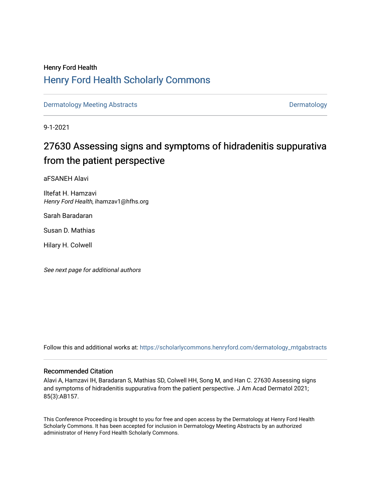## Henry Ford Health [Henry Ford Health Scholarly Commons](https://scholarlycommons.henryford.com/)

[Dermatology Meeting Abstracts](https://scholarlycommons.henryford.com/dermatology_mtgabstracts) and the control of the [Dermatology](https://scholarlycommons.henryford.com/dermatology) Dermatology

9-1-2021

# 27630 Assessing signs and symptoms of hidradenitis suppurativa from the patient perspective

aFSANEH Alavi

Iltefat H. Hamzavi Henry Ford Health, ihamzav1@hfhs.org

Sarah Baradaran

Susan D. Mathias

Hilary H. Colwell

See next page for additional authors

Follow this and additional works at: [https://scholarlycommons.henryford.com/dermatology\\_mtgabstracts](https://scholarlycommons.henryford.com/dermatology_mtgabstracts?utm_source=scholarlycommons.henryford.com%2Fdermatology_mtgabstracts%2F167&utm_medium=PDF&utm_campaign=PDFCoverPages) 

### Recommended Citation

Alavi A, Hamzavi IH, Baradaran S, Mathias SD, Colwell HH, Song M, and Han C. 27630 Assessing signs and symptoms of hidradenitis suppurativa from the patient perspective. J Am Acad Dermatol 2021; 85(3):AB157.

This Conference Proceeding is brought to you for free and open access by the Dermatology at Henry Ford Health Scholarly Commons. It has been accepted for inclusion in Dermatology Meeting Abstracts by an authorized administrator of Henry Ford Health Scholarly Commons.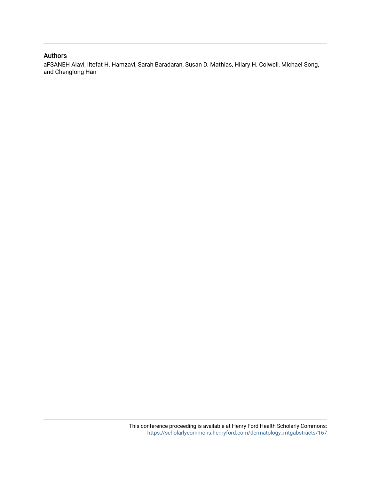## Authors

aFSANEH Alavi, Iltefat H. Hamzavi, Sarah Baradaran, Susan D. Mathias, Hilary H. Colwell, Michael Song, and Chenglong Han